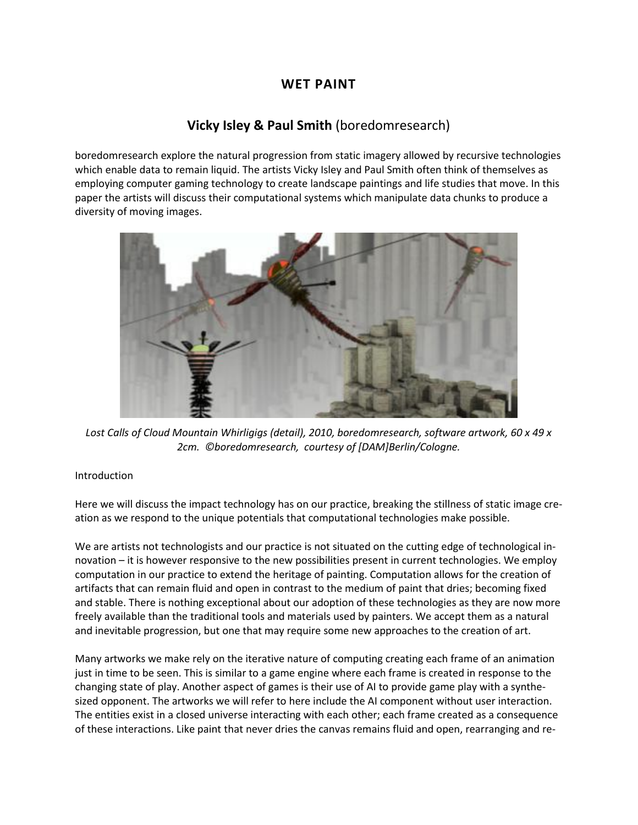# **WET PAINT**

# **[Vicky Isley](http://isea2011.sabanciuniv.edu/-25.html) & [Paul Smith](http://isea2011.sabanciuniv.edu/-42.html)** (boredomresearch)

boredomresearch explore the natural progression from static imagery allowed by recursive technologies which enable data to remain liquid. The artists Vicky Isley and Paul Smith often think of themselves as employing computer gaming technology to create landscape paintings and life studies that move. In this paper the artists will discuss their computational systems which manipulate data chunks to produce a diversity of moving images.



*Lost Calls of Cloud Mountain Whirligigs (detail), 2010, boredomresearch, software artwork, 60 x 49 x 2cm. ©boredomresearch, courtesy of [DAM]Berlin/Cologne.*

### Introduction

Here we will discuss the impact technology has on our practice, breaking the stillness of static image creation as we respond to the unique potentials that computational technologies make possible.

We are artists not technologists and our practice is not situated on the cutting edge of technological innovation – it is however responsive to the new possibilities present in current technologies. We employ computation in our practice to extend the heritage of painting. Computation allows for the creation of artifacts that can remain fluid and open in contrast to the medium of paint that dries; becoming fixed and stable. There is nothing exceptional about our adoption of these technologies as they are now more freely available than the traditional tools and materials used by painters. We accept them as a natural and inevitable progression, but one that may require some new approaches to the creation of art.

Many artworks we make rely on the iterative nature of computing creating each frame of an animation just in time to be seen. This is similar to a game engine where each frame is created in response to the changing state of play. Another aspect of games is their use of AI to provide game play with a synthesized opponent. The artworks we will refer to here include the AI component without user interaction. The entities exist in a closed universe interacting with each other; each frame created as a consequence of these interactions. Like paint that never dries the canvas remains fluid and open, rearranging and re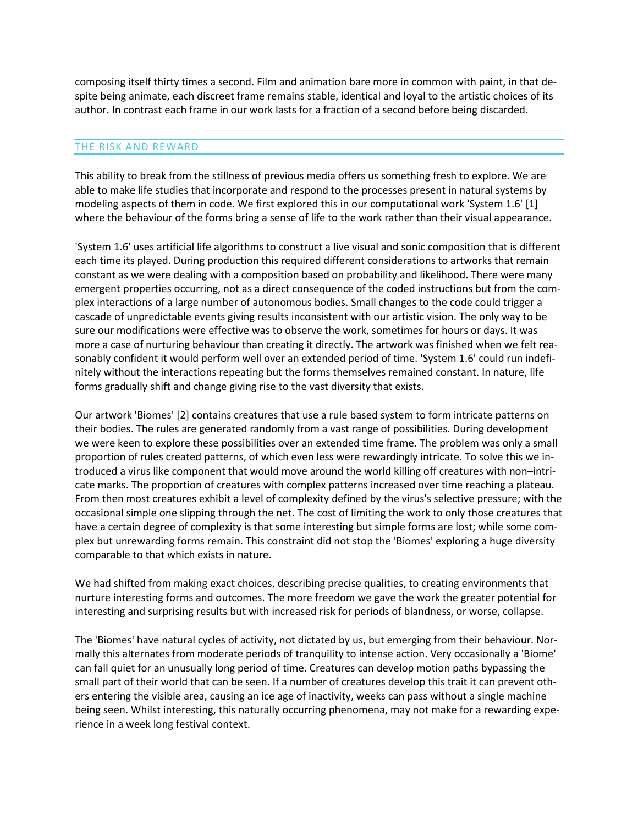composing itself thirty times a second. Film and animation bare more in common with paint, in that despite being animate, each discreet frame remains stable, identical and loyal to the artistic choices of its author. In contrast each frame in our work lasts for a fraction of a second before being discarded.

#### THE RISK AND REWARD

This ability to break from the stillness of previous media offers us something fresh to explore. We are able to make life studies that incorporate and respond to the processes present in natural systems by modeling aspects of them in code. We first explored this in our computational work 'System 1.6' [1] where the behaviour of the forms bring a sense of life to the work rather than their visual appearance.

'System 1.6' uses artificial life algorithms to construct a live visual and sonic composition that is different each time its played. During production this required different considerations to artworks that remain constant as we were dealing with a composition based on probability and likelihood. There were many emergent properties occurring, not as a direct consequence of the coded instructions but from the complex interactions of a large number of autonomous bodies. Small changes to the code could trigger a cascade of unpredictable events giving results inconsistent with our artistic vision. The only way to be sure our modifications were effective was to observe the work, sometimes for hours or days. It was more a case of nurturing behaviour than creating it directly. The artwork was finished when we felt reasonably confident it would perform well over an extended period of time. 'System 1.6' could run indefinitely without the interactions repeating but the forms themselves remained constant. In nature, life forms gradually shift and change giving rise to the vast diversity that exists.

Our artwork 'Biomes' [2] contains creatures that use a rule based system to form intricate patterns on their bodies. The rules are generated randomly from a vast range of possibilities. During development we were keen to explore these possibilities over an extended time frame. The problem was only a small proportion of rules created patterns, of which even less were rewardingly intricate. To solve this we introduced a virus like component that would move around the world killing off creatures with non–intricate marks. The proportion of creatures with complex patterns increased over time reaching a plateau. From then most creatures exhibit a level of complexity defined by the virus's selective pressure; with the occasional simple one slipping through the net. The cost of limiting the work to only those creatures that have a certain degree of complexity is that some interesting but simple forms are lost; while some complex but unrewarding forms remain. This constraint did not stop the 'Biomes' exploring a huge diversity comparable to that which exists in nature.

We had shifted from making exact choices, describing precise qualities, to creating environments that nurture interesting forms and outcomes. The more freedom we gave the work the greater potential for interesting and surprising results but with increased risk for periods of blandness, or worse, collapse.

The 'Biomes' have natural cycles of activity, not dictated by us, but emerging from their behaviour. Normally this alternates from moderate periods of tranquility to intense action. Very occasionally a 'Biome' can fall quiet for an unusually long period of time. Creatures can develop motion paths bypassing the small part of their world that can be seen. If a number of creatures develop this trait it can prevent others entering the visible area, causing an ice age of inactivity, weeks can pass without a single machine being seen. Whilst interesting, this naturally occurring phenomena, may not make for a rewarding experience in a week long festival context.